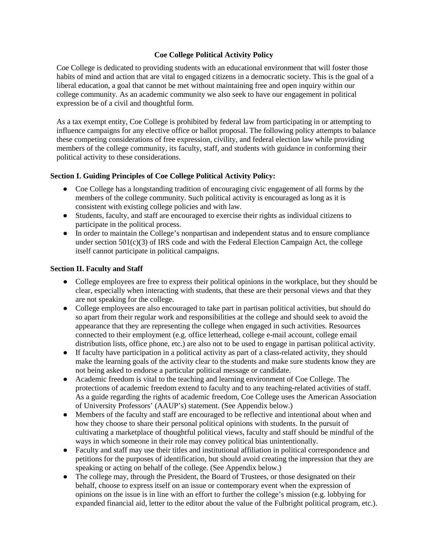# **Coe College Political Activity Policy**

Coe College is dedicated to providing students with an educational environment that will foster those habits of mind and action that are vital to engaged citizens in a democratic society. This is the goal of a liberal education, a goal that cannot be met without maintaining free and open inquiry within our college community. As an academic community we also seek to have our engagement in political expression be of a civil and thoughtful form.

As a tax exempt entity, Coe College is prohibited by federal law from participating in or attempting to influence campaigns for any elective office or ballot proposal. The following policy attempts to balance these competing considerations of free expression, civility, and federal election law while providing members of the college community, its faculty, staff, and students with guidance in conforming their political activity to these considerations.

# **Section I. Guiding Principles of Coe College Political Activity Policy:**

- Coe College has a longstanding tradition of encouraging civic engagement of all forms by the members of the college community. Such political activity is encouraged as long as it is consistent with existing college policies and with law.
- Students, faculty, and staff are encouraged to exercise their rights as individual citizens to participate in the political process.
- In order to maintain the College's nonpartisan and independent status and to ensure compliance under section  $501(c)(3)$  of IRS code and with the Federal Election Campaign Act, the college itself cannot participate in political campaigns.

## **Section II. Faculty and Staff**

- College employees are free to express their political opinions in the workplace, but they should be clear, especially when interacting with students, that these are their personal views and that they are not speaking for the college.
- College employees are also encouraged to take part in partisan political activities, but should do so apart from their regular work and responsibilities at the college and should seek to avoid the appearance that they are representing the college when engaged in such activities. Resources connected to their employment (e.g. office letterhead, college e-mail account, college email distribution lists, office phone, etc.) are also not to be used to engage in partisan political activity.
- If faculty have participation in a political activity as part of a class-related activity, they should make the learning goals of the activity clear to the students and make sure students know they are not being asked to endorse a particular political message or candidate.
- Academic freedom is vital to the teaching and learning environment of Coe College. The protections of academic freedom extend to faculty and to any teaching-related activities of staff. As a guide regarding the rights of academic freedom, Coe College uses the American Association of University Professors' (AAUP's) statement. (See Appendix below.)
- Members of the faculty and staff are encouraged to be reflective and intentional about when and how they choose to share their personal political opinions with students. In the pursuit of cultivating a marketplace of thoughtful political views, faculty and staff should be mindful of the ways in which someone in their role may convey political bias unintentionally.
- Faculty and staff may use their titles and institutional affiliation in political correspondence and petitions for the purposes of identification, but should avoid creating the impression that they are speaking or acting on behalf of the college. (See Appendix below.)
- The college may, through the President, the Board of Trustees, or those designated on their behalf, choose to express itself on an issue or contemporary event when the expression of opinions on the issue is in line with an effort to further the college's mission (e.g. lobbying for expanded financial aid, letter to the editor about the value of the Fulbright political program, etc.).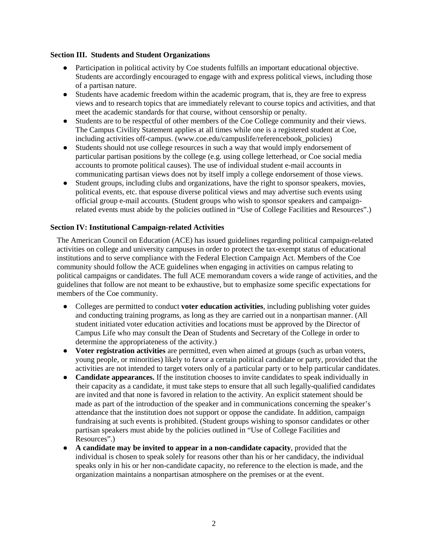### **Section III. Students and Student Organizations**

- Participation in political activity by Coe students fulfills an important educational objective. Students are accordingly encouraged to engage with and express political views, including those of a partisan nature.
- Students have academic freedom within the academic program, that is, they are free to express views and to research topics that are immediately relevant to course topics and activities, and that meet the academic standards for that course, without censorship or penalty.
- Students are to be respectful of other members of the Coe College community and their views. The Campus Civility Statement applies at all times while one is a registered student at Coe, including activities off-campus. (www.coe.edu/campuslife/referencebook\_policies)
- Students should not use college resources in such a way that would imply endorsement of particular partisan positions by the college (e.g. using college letterhead, or Coe social media accounts to promote political causes). The use of individual student e-mail accounts in communicating partisan views does not by itself imply a college endorsement of those views.
- Student groups, including clubs and organizations, have the right to sponsor speakers, movies, political events, etc. that espouse diverse political views and may advertise such events using official group e-mail accounts. (Student groups who wish to sponsor speakers and campaignrelated events must abide by the policies outlined in "Use of College Facilities and Resources".)

## **Section IV: Institutional Campaign-related Activities**

The American Council on Education (ACE) has issued guidelines regarding political campaign-related activities on college and university campuses in order to protect the tax-exempt status of educational institutions and to serve compliance with the Federal Election Campaign Act. Members of the Coe community should follow the ACE guidelines when engaging in activities on campus relating to political campaigns or candidates. The full ACE memorandum covers a wide range of activities, and the guidelines that follow are not meant to be exhaustive, but to emphasize some specific expectations for members of the Coe community.

- Colleges are permitted to conduct **voter education activities**, including publishing voter guides and conducting training programs, as long as they are carried out in a nonpartisan manner. (All student initiated voter education activities and locations must be approved by the Director of Campus Life who may consult the Dean of Students and Secretary of the College in order to determine the appropriateness of the activity.)
- **Voter registration activities** are permitted, even when aimed at groups (such as urban voters, young people, or minorities) likely to favor a certain political candidate or party, provided that the activities are not intended to target voters only of a particular party or to help particular candidates.
- **Candidate appearances.** If the institution chooses to invite candidates to speak individually in their capacity as a candidate, it must take steps to ensure that all such legally-qualified candidates are invited and that none is favored in relation to the activity. An explicit statement should be made as part of the introduction of the speaker and in communications concerning the speaker's attendance that the institution does not support or oppose the candidate. In addition, campaign fundraising at such events is prohibited. (Student groups wishing to sponsor candidates or other partisan speakers must abide by the policies outlined in "Use of College Facilities and Resources".)
- **A candidate may be invited to appear in a non-candidate capacity**, provided that the individual is chosen to speak solely for reasons other than his or her candidacy, the individual speaks only in his or her non-candidate capacity, no reference to the election is made, and the organization maintains a nonpartisan atmosphere on the premises or at the event.